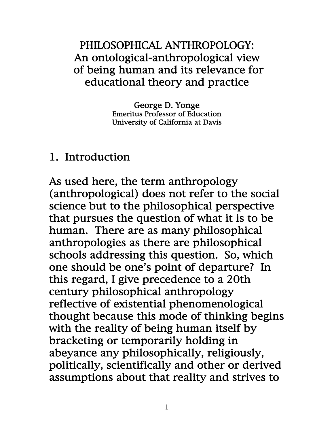### PHILOSOPHICAL ANTHROPOLOGY: An ontological-anthropological view of being human and its relevance for educational theory and practice

George D. Yonge Emeritus Professor of Education University of California at Davis

#### 1. Introduction

As used here, the term anthropology (anthropological) does not refer to the social science but to the philosophical perspective that pursues the question of what it is to be human. There are as many philosophical anthropologies as there are philosophical schools addressing this question. So, which one should be one's point of departure? In this regard, I give precedence to a 20th century philosophical anthropology reflective of existential phenomenological thought because this mode of thinking begins with the reality of being human itself by bracketing or temporarily holding in abeyance any philosophically, religiously, politically, scientifically and other or derived assumptions about that reality and strives to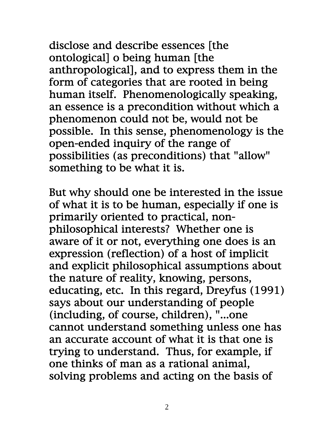disclose and describe essences [the ontological] o being human [the anthropological], and to express them in the form of categories that are rooted in being human itself. Phenomenologically speaking, an essence is a precondition without which a phenomenon could not be, would not be possible. In this sense, phenomenology is the open-ended inquiry of the range of possibilities (as preconditions) that "allow" something to be what it is.

But why should one be interested in the issue of what it is to be human, especially if one is primarily oriented to practical, nonphilosophical interests? Whether one is aware of it or not, everything one does is an expression (reflection) of a host of implicit and explicit philosophical assumptions about the nature of reality, knowing, persons, educating, etc. In this regard, Dreyfus (1991) says about our understanding of people (including, of course, children), "...one cannot understand something unless one has an accurate account of what it is that one is trying to understand. Thus, for example, if one thinks of man as a rational animal, solving problems and acting on the basis of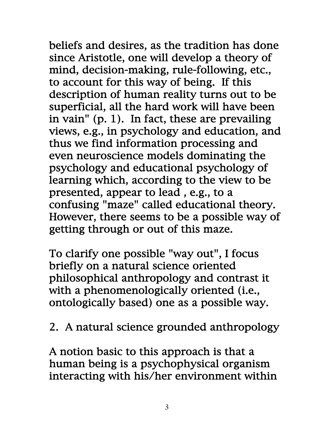beliefs and desires, as the tradition has done since Aristotle, one will develop a theory of mind, decision-making, rule-following, etc., to account for this way of being. If this description of human reality turns out to be superficial, all the hard work will have been in vain" (p. 1). In fact, these are prevailing views, e.g., in psychology and education, and thus we find information processing and even neuroscience models dominating the psychology and educational psychology of learning which, according to the view to be presented, appear to lead , e.g., to a confusing "maze" called educational theory. However, there seems to be a possible way of getting through or out of this maze.

To clarify one possible "way out", I focus briefly on a natural science oriented philosophical anthropology and contrast it with a phenomenologically oriented (i.e., ontologically based) one as a possible way.

2. A natural science grounded anthropology

A notion basic to this approach is that a human being is a psychophysical organism interacting with his/her environment within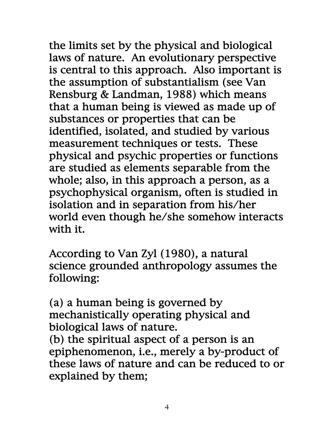the limits set by the physical and biological laws of nature. An evolutionary perspective is central to this approach. Also important is the assumption of substantialism (see Van Rensburg & Landman, 1988) which means that a human being is viewed as made up of substances or properties that can be identified, isolated, and studied by various measurement techniques or tests. These physical and psychic properties or functions are studied as elements separable from the whole; also, in this approach a person, as a psychophysical organism, often is studied in isolation and in separation from his/her world even though he/she somehow interacts with it.

According to Van Zyl (1980), a natural science grounded anthropology assumes the following:

(a) a human being is governed by mechanistically operating physical and biological laws of nature.

(b) the spiritual aspect of a person is an epiphenomenon, i.e., merely a by-product of these laws of nature and can be reduced to or explained by them;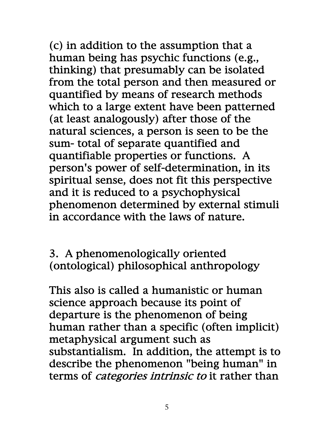(c) in addition to the assumption that a human being has psychic functions (e.g., thinking) that presumably can be isolated from the total person and then measured or quantified by means of research methods which to a large extent have been patterned (at least analogously) after those of the natural sciences, a person is seen to be the sum- total of separate quantified and quantifiable properties or functions. A person's power of self-determination, in its spiritual sense, does not fit this perspective and it is reduced to a psychophysical phenomenon determined by external stimuli in accordance with the laws of nature.

3. A phenomenologically oriented (ontological) philosophical anthropology

This also is called a humanistic or human science approach because its point of departure is the phenomenon of being human rather than a specific (often implicit) metaphysical argument such as substantialism. In addition, the attempt is to describe the phenomenon "being human" in terms of *categories intrinsic to* it rather than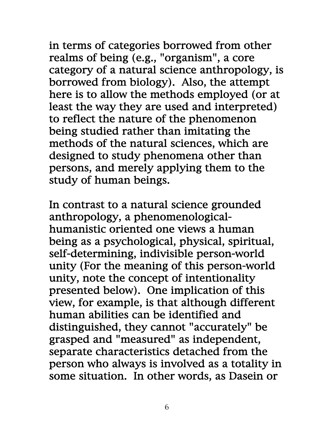in terms of categories borrowed from other realms of being (e.g., "organism", a core category of a natural science anthropology, is borrowed from biology). Also, the attempt here is to allow the methods employed (or at least the way they are used and interpreted) to reflect the nature of the phenomenon being studied rather than imitating the methods of the natural sciences, which are designed to study phenomena other than persons, and merely applying them to the study of human beings.

In contrast to a natural science grounded anthropology, a phenomenologicalhumanistic oriented one views a human being as a psychological, physical, spiritual, self-determining, indivisible person-world unity (For the meaning of this person-world unity, note the concept of intentionality presented below). One implication of this view, for example, is that although different human abilities can be identified and distinguished, they cannot "accurately" be grasped and "measured" as independent, separate characteristics detached from the person who always is involved as a totality in some situation. In other words, as Dasein or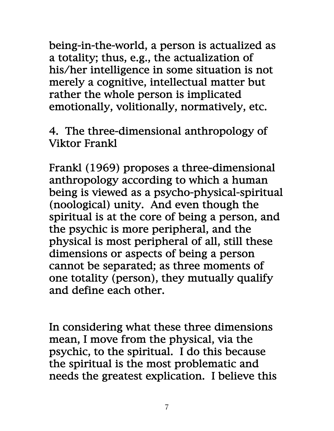being-in-the-world, a person is actualized as a totality; thus, e.g., the actualization of his/her intelligence in some situation is not merely a cognitive, intellectual matter but rather the whole person is implicated emotionally, volitionally, normatively, etc.

4. The three-dimensional anthropology of Viktor Frankl

Frankl (1969) proposes a three-dimensional anthropology according to which a human being is viewed as a psycho-physical-spiritual (noological) unity. And even though the spiritual is at the core of being a person, and the psychic is more peripheral, and the physical is most peripheral of all, still these dimensions or aspects of being a person cannot be separated; as three moments of one totality (person), they mutually qualify and define each other.

In considering what these three dimensions mean, I move from the physical, via the psychic, to the spiritual. I do this because the spiritual is the most problematic and needs the greatest explication. I believe this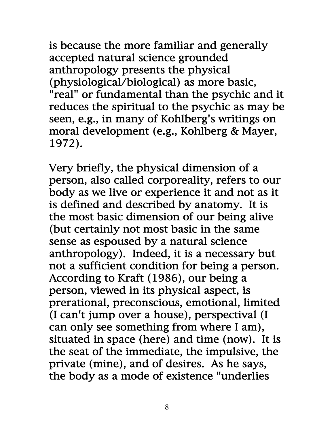is because the more familiar and generally accepted natural science grounded anthropology presents the physical (physiological/biological) as more basic, "real" or fundamental than the psychic and it reduces the spiritual to the psychic as may be seen, e.g., in many of Kohlberg's writings on moral development (e.g., Kohlberg & Mayer, 1972).

Very briefly, the physical dimension of a person, also called corporeality, refers to our body as we live or experience it and not as it is defined and described by anatomy. It is the most basic dimension of our being alive (but certainly not most basic in the same sense as espoused by a natural science anthropology). Indeed, it is a necessary but not a sufficient condition for being a person. According to Kraft (1986), our being a person, viewed in its physical aspect, is prerational, preconscious, emotional, limited (I can't jump over a house), perspectival (I can only see something from where I am), situated in space (here) and time (now). It is the seat of the immediate, the impulsive, the private (mine), and of desires. As he says, the body as a mode of existence "underlies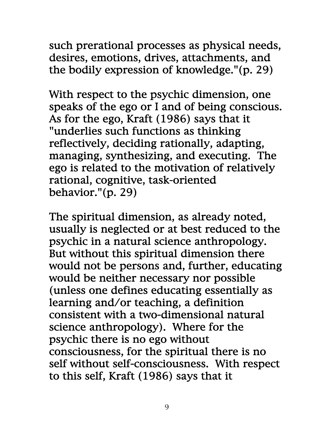such prerational processes as physical needs, desires, emotions, drives, attachments, and the bodily expression of knowledge."(p. 29)

With respect to the psychic dimension, one speaks of the ego or I and of being conscious. As for the ego, Kraft (1986) says that it "underlies such functions as thinking reflectively, deciding rationally, adapting, managing, synthesizing, and executing. The ego is related to the motivation of relatively rational, cognitive, task-oriented behavior."(p. 29)

The spiritual dimension, as already noted, usually is neglected or at best reduced to the psychic in a natural science anthropology. But without this spiritual dimension there would not be persons and, further, educating would be neither necessary nor possible (unless one defines educating essentially as learning and/or teaching, a definition consistent with a two-dimensional natural science anthropology). Where for the psychic there is no ego without consciousness, for the spiritual there is no self without self-consciousness. With respect to this self, Kraft (1986) says that it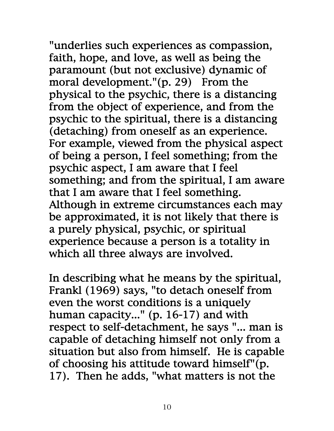"underlies such experiences as compassion, faith, hope, and love, as well as being the paramount (but not exclusive) dynamic of moral development." $(p. 29)$  From the physical to the psychic, there is a distancing from the object of experience, and from the psychic to the spiritual, there is a distancing (detaching) from oneself as an experience. For example, viewed from the physical aspect of being a person, I feel something; from the psychic aspect, I am aware that I feel something; and from the spiritual, I am aware that I am aware that I feel something. Although in extreme circumstances each may be approximated, it is not likely that there is a purely physical, psychic, or spiritual experience because a person is a totality in which all three always are involved.

In describing what he means by the spiritual, Frankl (1969) says, "to detach oneself from even the worst conditions is a uniquely human capacity..." (p. 16-17) and with respect to self-detachment, he says "... man is capable of detaching himself not only from a situation but also from himself. He is capable of choosing his attitude toward himself"(p. 17). Then he adds, "what matters is not the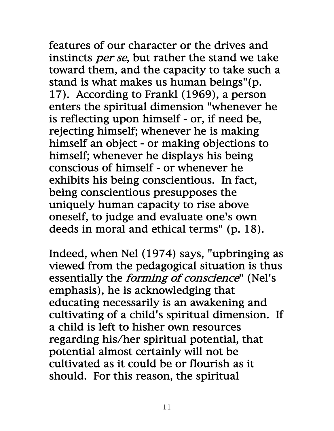features of our character or the drives and instincts *per se*, but rather the stand we take toward them, and the capacity to take such a stand is what makes us human beings"(p. 17). According to Frankl (1969), a person enters the spiritual dimension "whenever he is reflecting upon himself - or, if need be, rejecting himself; whenever he is making himself an object - or making objections to himself; whenever he displays his being conscious of himself - or whenever he exhibits his being conscientious. In fact, being conscientious presupposes the uniquely human capacity to rise above oneself, to judge and evaluate one's own deeds in moral and ethical terms" (p. 18).

Indeed, when Nel (1974) says, "upbringing as viewed from the pedagogical situation is thus essentially the *forming of conscience*" (Nel's emphasis), he is acknowledging that educating necessarily is an awakening and cultivating of a child's spiritual dimension. If a child is left to hisher own resources regarding his/her spiritual potential, that potential almost certainly will not be cultivated as it could be or flourish as it should. For this reason, the spiritual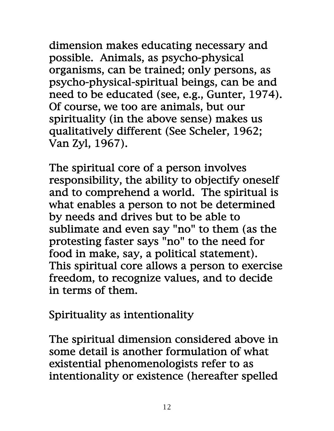dimension makes educating necessary and possible. Animals, as psycho-physical organisms, can be trained; only persons, as psycho-physical-spiritual beings, can be and need to be educated (see, e.g., Gunter, 1974). Of course, we too are animals, but our spirituality (in the above sense) makes us qualitatively different (See Scheler, 1962; Van Zyl, 1967).

The spiritual core of a person involves responsibility, the ability to objectify oneself and to comprehend a world. The spiritual is what enables a person to not be determined by needs and drives but to be able to sublimate and even say "no" to them (as the protesting faster says "no" to the need for food in make, say, a political statement). This spiritual core allows a person to exercise freedom, to recognize values, and to decide in terms of them.

Spirituality as intentionality

The spiritual dimension considered above in some detail is another formulation of what existential phenomenologists refer to as intentionality or existence (hereafter spelled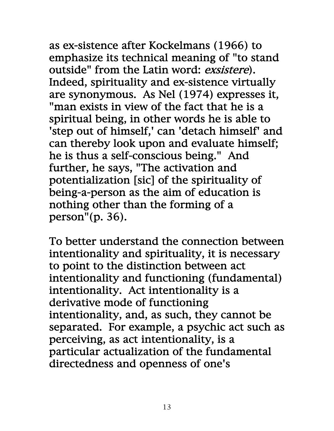as ex-sistence after Kockelmans (1966) to emphasize its technical meaning of "to stand outside" from the Latin word: exsistere). Indeed, spirituality and ex-sistence virtually are synonymous. As Nel (1974) expresses it, "man exists in view of the fact that he is a spiritual being, in other words he is able to 'step out of himself,' can 'detach himself' and can thereby look upon and evaluate himself; he is thus a self-conscious being." And further, he says, "The activation and potentialization [sic] of the spirituality of being-a-person as the aim of education is nothing other than the forming of a person"(p. 36).

To better understand the connection between intentionality and spirituality, it is necessary to point to the distinction between act intentionality and functioning (fundamental) intentionality. Act intentionality is a derivative mode of functioning intentionality, and, as such, they cannot be separated. For example, a psychic act such as perceiving, as act intentionality, is a particular actualization of the fundamental directedness and openness of one's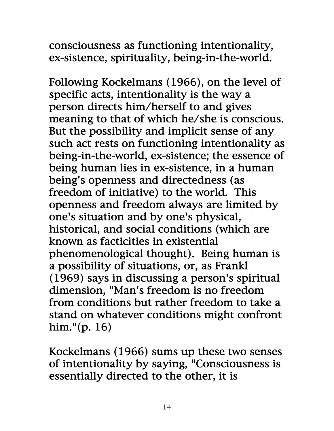consciousness as functioning intentionality, ex-sistence, spirituality, being-in-the-world.

Following Kockelmans (1966), on the level of specific acts, intentionality is the way a person directs him/herself to and gives meaning to that of which he/she is conscious. But the possibility and implicit sense of any such act rests on functioning intentionality as being-in-the-world, ex-sistence; the essence of being human lies in ex-sistence, in a human being's openness and directedness (as freedom of initiative) to the world. This openness and freedom always are limited by one's situation and by one's physical, historical, and social conditions (which are known as facticities in existential phenomenological thought). Being human is a possibility of situations, or, as Frankl (1969) says in discussing a person's spiritual dimension, "Man's freedom is no freedom from conditions but rather freedom to take a stand on whatever conditions might confront him."(p. 16)

Kockelmans (1966) sums up these two senses of intentionality by saying, "Consciousness is essentially directed to the other, it is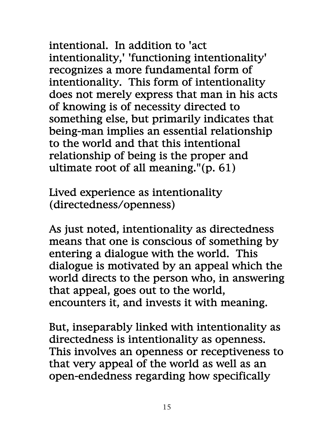intentional. In addition to 'act intentionality,' 'functioning intentionality' recognizes a more fundamental form of intentionality. This form of intentionality does not merely express that man in his acts of knowing is of necessity directed to something else, but primarily indicates that being-man implies an essential relationship to the world and that this intentional relationship of being is the proper and ultimate root of all meaning."(p. 61)

Lived experience as intentionality (directedness/openness)

As just noted, intentionality as directedness means that one is conscious of something by entering a dialogue with the world. This dialogue is motivated by an appeal which the world directs to the person who, in answering that appeal, goes out to the world, encounters it, and invests it with meaning.

But, inseparably linked with intentionality as directedness is intentionality as openness. This involves an openness or receptiveness to that very appeal of the world as well as an open-endedness regarding how specifically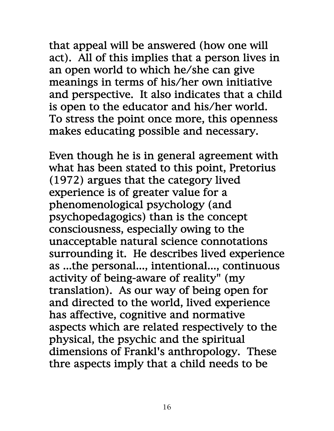that appeal will be answered (how one will act). All of this implies that a person lives in an open world to which he/she can give meanings in terms of his/her own initiative and perspective. It also indicates that a child is open to the educator and his/her world. To stress the point once more, this openness makes educating possible and necessary.

Even though he is in general agreement with what has been stated to this point, Pretorius (1972) argues that the category lived experience is of greater value for a phenomenological psychology (and psychopedagogics) than is the concept consciousness, especially owing to the unacceptable natural science connotations surrounding it. He describes lived experience as ...the personal..., intentional..., continuous activity of being-aware of reality" (my translation). As our way of being open for and directed to the world, lived experience has affective, cognitive and normative aspects which are related respectively to the physical, the psychic and the spiritual dimensions of Frankl's anthropology. These thre aspects imply that a child needs to be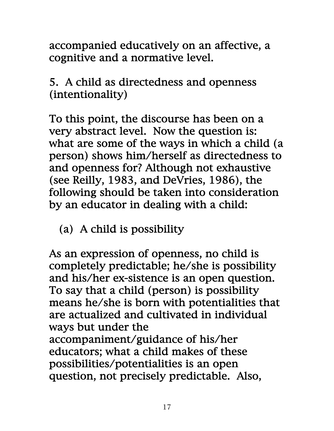accompanied educatively on an affective, a cognitive and a normative level.

5. A child as directedness and openness (intentionality)

To this point, the discourse has been on a very abstract level. Now the question is: what are some of the ways in which a child (a person) shows him/herself as directedness to and openness for? Although not exhaustive (see Reilly, 1983, and DeVries, 1986), the following should be taken into consideration by an educator in dealing with a child:

(a) A child is possibility

As an expression of openness, no child is completely predictable; he/she is possibility and his/her ex-sistence is an open question. To say that a child (person) is possibility means he/she is born with potentialities that are actualized and cultivated in individual ways but under the accompaniment/guidance of his/her educators; what a child makes of these possibilities/potentialities is an open question, not precisely predictable. Also,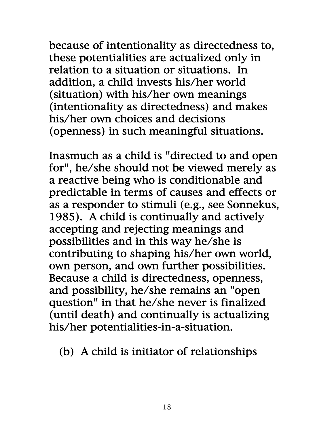because of intentionality as directedness to, these potentialities are actualized only in relation to a situation or situations. In addition, a child invests his/her world (situation) with his/her own meanings (intentionality as directedness) and makes his/her own choices and decisions (openness) in such meaningful situations.

Inasmuch as a child is "directed to and open for", he/she should not be viewed merely as a reactive being who is conditionable and predictable in terms of causes and effects or as a responder to stimuli (e.g., see Sonnekus, 1985). A child is continually and actively accepting and rejecting meanings and possibilities and in this way he/she is contributing to shaping his/her own world, own person, and own further possibilities. Because a child is directedness, openness, and possibility, he/she remains an "open question" in that he/she never is finalized (until death) and continually is actualizing his/her potentialities-in-a-situation.

(b) A child is initiator of relationships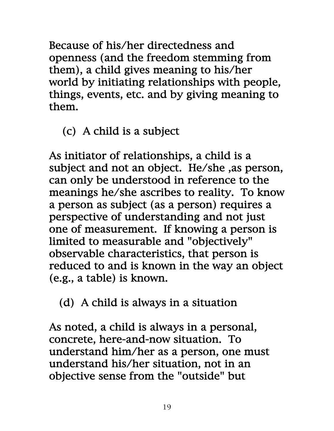Because of his/her directedness and openness (and the freedom stemming from them), a child gives meaning to his/her world by initiating relationships with people, things, events, etc. and by giving meaning to them.

(c) A child is a subject

As initiator of relationships, a child is a subject and not an object. He/she ,as person, can only be understood in reference to the meanings he/she ascribes to reality. To know a person as subject (as a person) requires a perspective of understanding and not just one of measurement. If knowing a person is limited to measurable and "objectively" observable characteristics, that person is reduced to and is known in the way an object (e.g., a table) is known.

(d) A child is always in a situation

As noted, a child is always in a personal, concrete, here-and-now situation. To understand him/her as a person, one must understand his/her situation, not in an objective sense from the "outside" but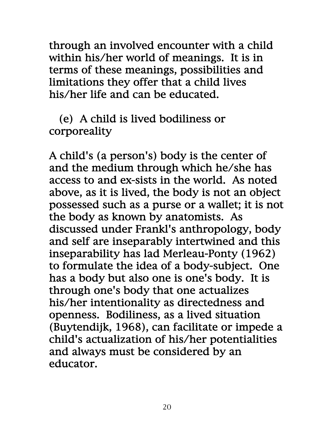through an involved encounter with a child within his/her world of meanings. It is in terms of these meanings, possibilities and limitations they offer that a child lives his/her life and can be educated.

 (e) A child is lived bodiliness or corporeality

A child's (a person's) body is the center of and the medium through which he/she has access to and ex-sists in the world. As noted above, as it is lived, the body is not an object possessed such as a purse or a wallet; it is not the body as known by anatomists. As discussed under Frankl's anthropology, body and self are inseparably intertwined and this inseparability has lad Merleau-Ponty (1962) to formulate the idea of a body-subject. One has a body but also one is one's body. It is through one's body that one actualizes his/her intentionality as directedness and openness. Bodiliness, as a lived situation (Buytendijk, 1968), can facilitate or impede a child's actualization of his/her potentialities and always must be considered by an educator.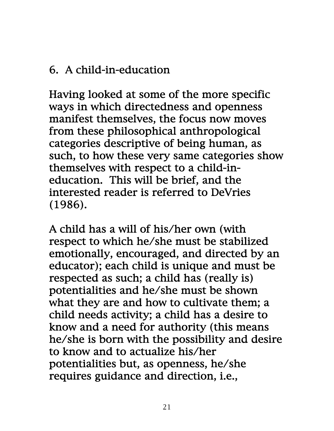# 6. A child-in-education

Having looked at some of the more specific ways in which directedness and openness manifest themselves, the focus now moves from these philosophical anthropological categories descriptive of being human, as such, to how these very same categories show themselves with respect to a child-ineducation. This will be brief, and the interested reader is referred to DeVries (1986).

A child has a will of his/her own (with respect to which he/she must be stabilized emotionally, encouraged, and directed by an educator); each child is unique and must be respected as such; a child has (really is) potentialities and he/she must be shown what they are and how to cultivate them; a child needs activity; a child has a desire to know and a need for authority (this means he/she is born with the possibility and desire to know and to actualize his/her potentialities but, as openness, he/she requires guidance and direction, i.e.,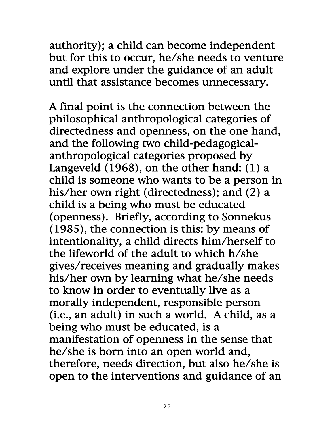authority); a child can become independent but for this to occur, he/she needs to venture and explore under the guidance of an adult until that assistance becomes unnecessary.

A final point is the connection between the philosophical anthropological categories of directedness and openness, on the one hand, and the following two child-pedagogicalanthropological categories proposed by Langeveld (1968), on the other hand: (1) a child is someone who wants to be a person in his/her own right (directedness); and (2) a child is a being who must be educated (openness). Briefly, according to Sonnekus (1985), the connection is this: by means of intentionality, a child directs him/herself to the lifeworld of the adult to which h/she gives/receives meaning and gradually makes his/her own by learning what he/she needs to know in order to eventually live as a morally independent, responsible person (i.e., an adult) in such a world. A child, as a being who must be educated, is a manifestation of openness in the sense that he/she is born into an open world and, therefore, needs direction, but also he/she is open to the interventions and guidance of an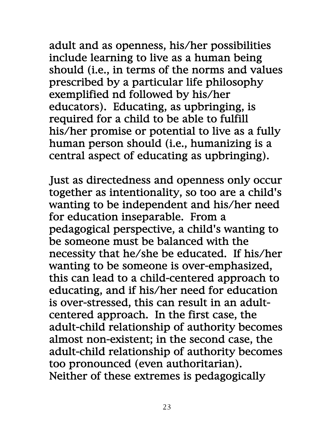adult and as openness, his/her possibilities include learning to live as a human being should (i.e., in terms of the norms and values prescribed by a particular life philosophy exemplified nd followed by his/her educators). Educating, as upbringing, is required for a child to be able to fulfill his/her promise or potential to live as a fully human person should (i.e., humanizing is a central aspect of educating as upbringing).

Just as directedness and openness only occur together as intentionality, so too are a child's wanting to be independent and his/her need for education inseparable. From a pedagogical perspective, a child's wanting to be someone must be balanced with the necessity that he/she be educated. If his/her wanting to be someone is over-emphasized, this can lead to a child-centered approach to educating, and if his/her need for education is over-stressed, this can result in an adultcentered approach. In the first case, the adult-child relationship of authority becomes almost non-existent; in the second case, the adult-child relationship of authority becomes too pronounced (even authoritarian). Neither of these extremes is pedagogically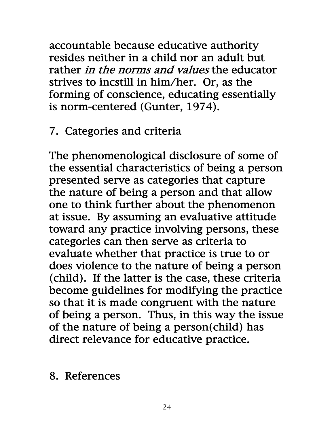accountable because educative authority resides neither in a child nor an adult but rather *in the norms and values* the educator strives to incstill in him/her. Or, as the forming of conscience, educating essentially is norm-centered (Gunter, 1974).

# 7. Categories and criteria

The phenomenological disclosure of some of the essential characteristics of being a person presented serve as categories that capture the nature of being a person and that allow one to think further about the phenomenon at issue. By assuming an evaluative attitude toward any practice involving persons, these categories can then serve as criteria to evaluate whether that practice is true to or does violence to the nature of being a person (child). If the latter is the case, these criteria become guidelines for modifying the practice so that it is made congruent with the nature of being a person. Thus, in this way the issue of the nature of being a person(child) has direct relevance for educative practice.

#### 8. References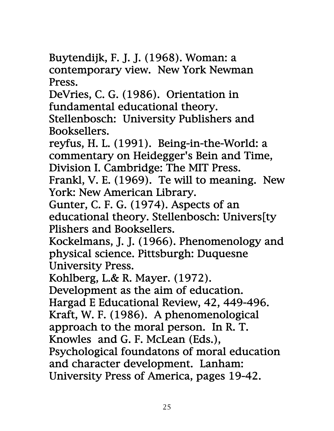Buytendijk, F. J. J. (1968). Woman: a contemporary view. New York Newman Press.

DeVries, C. G. (1986). Orientation in fundamental educational theory. Stellenbosch: University Publishers and Booksellers.

reyfus, H. L. (1991). Being-in-the-World: a commentary on Heidegger's Bein and Time, Division I. Cambridge: The MIT Press.

Frankl, V. E. (1969). Te will to meaning. New York: New American Library.

Gunter, C. F. G. (1974). Aspects of an educational theory. Stellenbosch: Univers[ty Plishers and Booksellers.

Kockelmans, J. J. (1966). Phenomenology and physical science. Pittsburgh: Duquesne University Press.

Kohlberg, L.& R. Mayer. (1972).

Development as the aim of education.

Hargad E Educational Review, 42, 449-496.

Kraft, W. F. (1986). A phenomenological

approach to the moral person. In R. T.

Knowles and G. F. McLean (Eds.),

Psychological foundatons of moral education and character development. Lanham:

University Press of America, pages 19-42.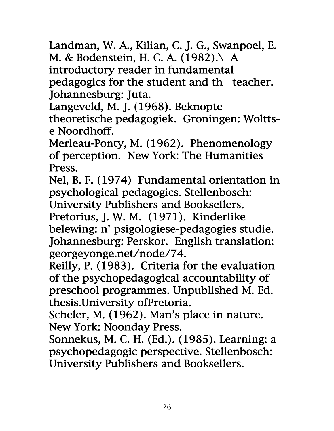Landman, W. A., Kilian, C. J. G., Swanpoel, E. M. & Bodenstein, H. C. A. (1982).\ A introductory reader in fundamental pedagogics for the student and th teacher. Johannesburg: Juta.

Langeveld, M. J. (1968). Beknopte theoretische pedagogiek. Groningen: Wolttse Noordhoff.

Merleau-Ponty, M. (1962). Phenomenology of perception. New York: The Humanities Press.

Nel, B. F. (1974) Fundamental orientation in psychological pedagogics. Stellenbosch: University Publishers and Booksellers. Pretorius, J. W. M. (1971). Kinderlike belewing: n' psigologiese-pedagogies studie. Johannesburg: Perskor. English translation: georgeyonge.net/node/74.

Reilly, P. (1983). Criteria for the evaluation of the psychopedagogical accountability of preschool programmes. Unpublished M. Ed. thesis.University ofPretoria.

Scheler, M. (1962). Man's place in nature. New York: Noonday Press.

Sonnekus, M. C. H. (Ed.). (1985). Learning: a psychopedagogic perspective. Stellenbosch: University Publishers and Booksellers.